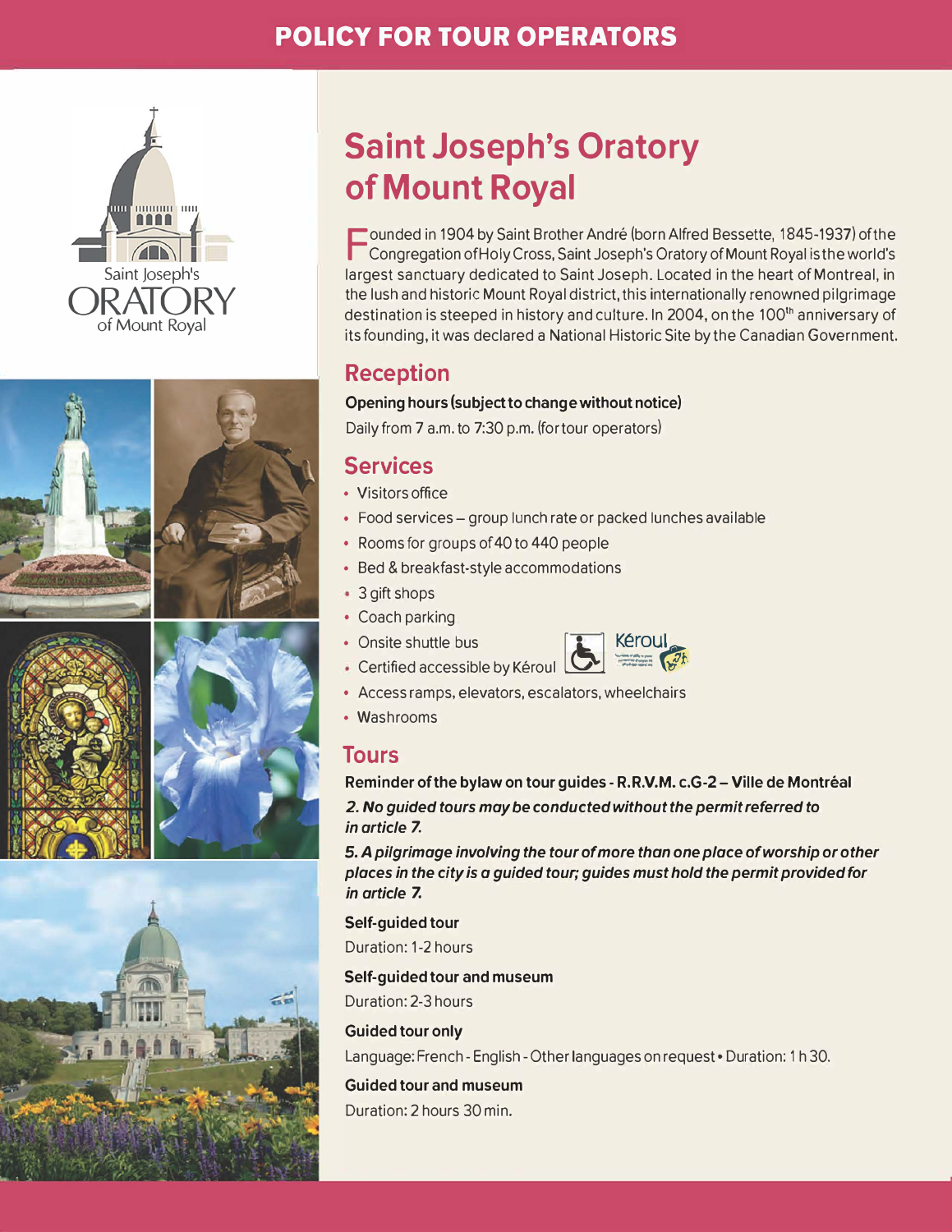# **POLICY FOR TOUR OPERATORS**









# **Saint Joseph's Oratory of Mount Royal**

F ounded in 1904 by Saint Brother André (born Alfred Bessette, 1845-1937) of the Congregation of Holy Cross, Saint Joseph's Oratory of Mount Royal is the world's largest sanctuary dedicated to Saint Joseph. Located in the heart ofMontreal, in the lush and historie Mount Royal district, this internationally renowned pilgrimage destination is steeped in history and culture. In 2004, on the 100<sup>th</sup> anniversary of its founding, it was declared a National Historie Site by the Canadian Government.

# **Reception**

#### **Opening hours (subject to change without notice)**

Daily from 7 a.m. to 7:30 p.m. ( for tour operators)

# **Services**

- Visitors office
- Food services group lunch rate or packed lunches available
- Rooms for groups of 40 to 440 people
- Bed & breakfast-style accommodations
- 3 gift shops
- Coach parking
- 



- Access ramps, elevators, escalators, wheelchairs
- Washrooms

### **Tours**

**Reminder of the bylaw on tour guides -R.R.V.M. c.G-2 - Ville de Montréal** 

*2. No guided tours may be conducted without the permit referred to in article* **7.**

**5.** *A pi/grimage involving the tour of more thon one place ofworship or other places in the city is a guided tour; guides must hold the permit provided for in article* **7.**

**Self-guided tour**  Duration: 1-2 hours

#### **Self-guided tour and museum**

Duration: 2-3 hours

#### **Guided tour only**

Language: French - English - Other languages on request . Duration: 1 h 30.

**Guided tour and museum**  Duration: 2 hours 30 min.